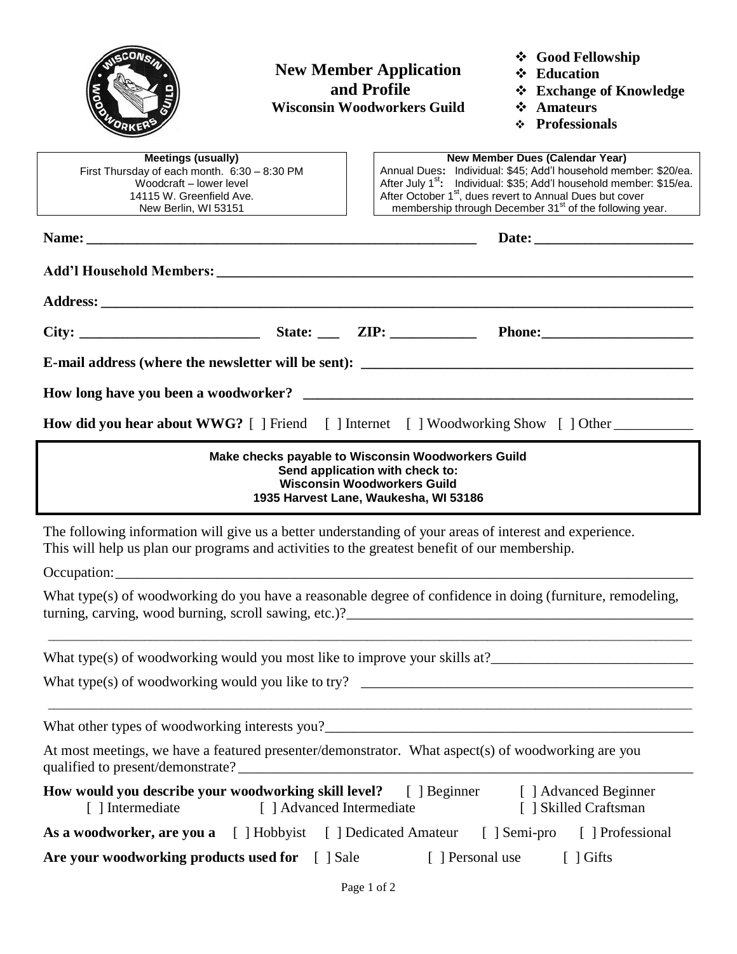

## **New Member Application and Profile Wisconsin Woodworkers Guild**

**Good Fellowship**

- **Education**
- **Exchange of Knowledge**
- **Amateurs**
- **Professionals**

| <b>Meetings (usually)</b><br>First Thursday of each month. 6:30 - 8:30 PM<br>Woodcraft - lower level<br>14115 W. Greenfield Ave.<br>New Berlin, WI 53151                                                 | <b>New Member Dues (Calendar Year)</b><br>Annual Dues: Individual: \$45; Add'l household member: \$20/ea.<br>After July 1 <sup>st</sup> : Individual: \$35; Add'l household member: \$15/ea.<br>After October 1 <sup>st</sup> , dues revert to Annual Dues but cover<br>membership through December 31 <sup>st</sup> of the following year. |  |  |
|----------------------------------------------------------------------------------------------------------------------------------------------------------------------------------------------------------|---------------------------------------------------------------------------------------------------------------------------------------------------------------------------------------------------------------------------------------------------------------------------------------------------------------------------------------------|--|--|
|                                                                                                                                                                                                          |                                                                                                                                                                                                                                                                                                                                             |  |  |
|                                                                                                                                                                                                          |                                                                                                                                                                                                                                                                                                                                             |  |  |
|                                                                                                                                                                                                          |                                                                                                                                                                                                                                                                                                                                             |  |  |
|                                                                                                                                                                                                          |                                                                                                                                                                                                                                                                                                                                             |  |  |
|                                                                                                                                                                                                          |                                                                                                                                                                                                                                                                                                                                             |  |  |
|                                                                                                                                                                                                          |                                                                                                                                                                                                                                                                                                                                             |  |  |
| How did you hear about WWG? [ ] Friend [ ] Internet [ ] Woodworking Show [ ] Other                                                                                                                       |                                                                                                                                                                                                                                                                                                                                             |  |  |
| Make checks payable to Wisconsin Woodworkers Guild<br>Send application with check to:<br><b>Wisconsin Woodworkers Guild</b><br>1935 Harvest Lane, Waukesha, WI 53186                                     |                                                                                                                                                                                                                                                                                                                                             |  |  |
| The following information will give us a better understanding of your areas of interest and experience.<br>This will help us plan our programs and activities to the greatest benefit of our membership. |                                                                                                                                                                                                                                                                                                                                             |  |  |
|                                                                                                                                                                                                          |                                                                                                                                                                                                                                                                                                                                             |  |  |
| What type(s) of woodworking do you have a reasonable degree of confidence in doing (furniture, remodeling,                                                                                               |                                                                                                                                                                                                                                                                                                                                             |  |  |
|                                                                                                                                                                                                          |                                                                                                                                                                                                                                                                                                                                             |  |  |
| What type(s) of woodworking would you like to try?                                                                                                                                                       |                                                                                                                                                                                                                                                                                                                                             |  |  |
|                                                                                                                                                                                                          |                                                                                                                                                                                                                                                                                                                                             |  |  |
| At most meetings, we have a featured presenter/demonstrator. What aspect(s) of woodworking are you                                                                                                       |                                                                                                                                                                                                                                                                                                                                             |  |  |
| How would you describe your woodworking skill level? [ ] Beginner [ ] Advanced Beginner<br>[ ] Advanced Intermediate<br>[ ] Skilled Craftsman<br>[ ] Intermediate                                        |                                                                                                                                                                                                                                                                                                                                             |  |  |
| As a woodworker, are you a [ ] Hobbyist [ ] Dedicated Amateur [ ] Semi-pro [ ] Professional                                                                                                              |                                                                                                                                                                                                                                                                                                                                             |  |  |
| Are your woodworking products used for [ ] Sale<br>[ ] Personal use<br>$\lceil$ $\rfloor$ Gifts                                                                                                          |                                                                                                                                                                                                                                                                                                                                             |  |  |